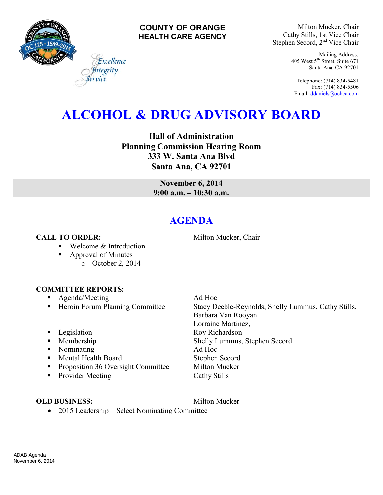

### **COUNTY OF ORANGE HEALTH CARE AGENCY**

Milton Mucker, Chair Cathy Stills, 1st Vice Chair Stephen Secord, 2<sup>nd</sup> Vice Chair

> Mailing Address: 405 West 5th Street, Suite 671 Santa Ana, CA 92701

Telephone: (714) 834-5481 Fax: (714) 834-5506 Email[: ddaniels@ochca.com](mailto:ddaniels@ochca.com)

# **ALCOHOL & DRUG ADVISORY BOARD**

**Hall of Administration Planning Commission Hearing Room 333 W. Santa Ana Blvd Santa Ana, CA 92701** 

> **November 6, 2014 9:00 a.m. – 10:30 a.m.**

## **AGENDA**

### **CALL TO ORDER:** Milton Mucker, Chair

■ Welcome & Introduction

Excellence egrity

- Approval of Minutes
	- o October 2, 2014

### **COMMITTEE REPORTS:**

- **Agenda/Meeting Ad Hoc**
- Heroin Forum Planning Committee Stacy Deeble-Reynolds, Shelly Lummus, Cathy Stills,
- 
- 
- Nominating Ad Hoc
- Mental Health Board Stephen Secord
- **•** Proposition 36 Oversight Committee Milton Mucker
- Provider Meeting Cathy Stills

### **OLD BUSINESS:** Milton Mucker

Barbara Van Rooyan Lorraine Martinez, **Example 3** Legislation **Roy Richardson Membership Shelly Lummus, Stephen Secord** 

• 2015 Leadership – Select Nominating Committee

ADAB Agenda November 6, 2014